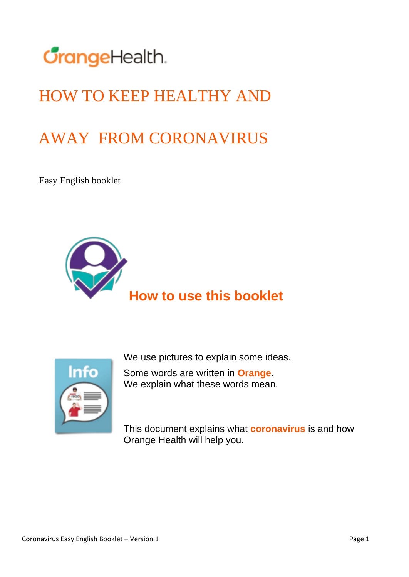

## HOW TO KEEP HEALTHY AND

## AWAY FROM CORONAVIRUS

Easy English booklet





We use pictures to explain some ideas.

Some words are written in **Orange**. We explain what these words mean.

This document explains what **coronavirus** is and how Orange Health will help you.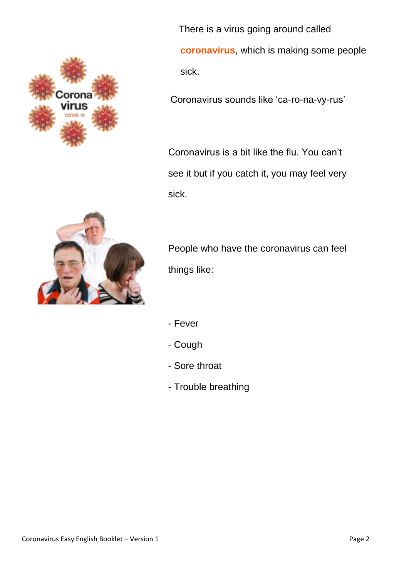

 There is a virus going around called **coronavirus**, which is making some people sick.

Coronavirus sounds like 'ca-ro-na-vy-rus'

Coronavirus is a bit like the flu. You can't see it but if you catch it, you may feel very sick.



People who have the coronavirus can feel things like:

- Fever
- Cough
- Sore throat
- Trouble breathing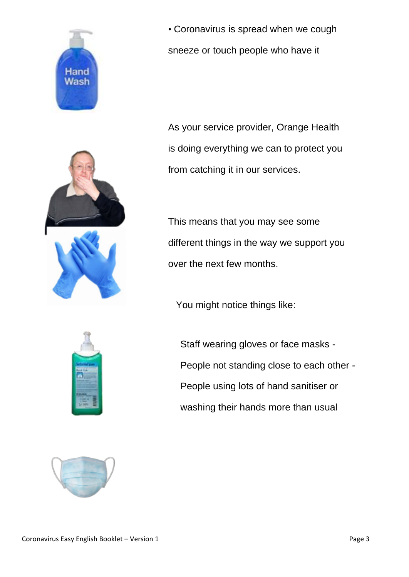



• Coronavirus is spread when we cough sneeze or touch people who have it

As your service provider, Orange Health is doing everything we can to protect you from catching it in our services.

This means that you may see some different things in the way we support you over the next few months.

You might notice things like:



Staff wearing gloves or face masks - People not standing close to each other - People using lots of hand sanitiser or washing their hands more than usual

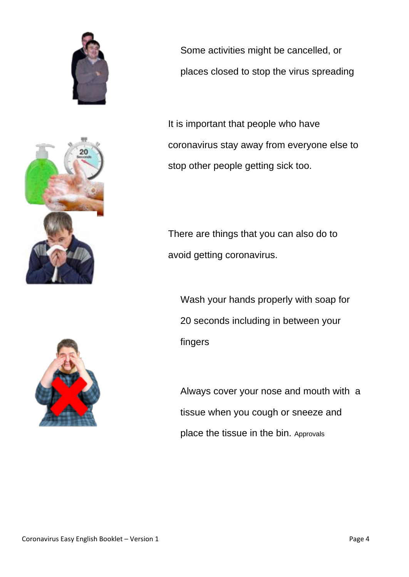





Some activities might be cancelled, or places closed to stop the virus spreading

It is important that people who have coronavirus stay away from everyone else to stop other people getting sick too.

There are things that you can also do to avoid getting coronavirus.

Wash your hands properly with soap for 20 seconds including in between your fingers

Always cover your nose and mouth with a tissue when you cough or sneeze and place the tissue in the bin. Approvals